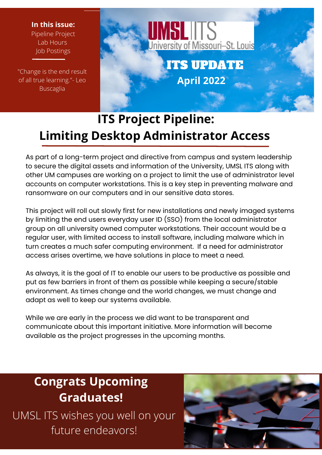#### **In this issue:** Pipeline Project

Lab Hours Job Postings

"Change is the end result of all true learning."- Leo Buscaglia



# **ITS Project Pipeline: Limiting Desktop Administrator Access**

As part of a long-term project and directive from campus and system leadership to secure the digital assets and information of the University, UMSL ITS along with other UM campuses are working on a project to limit the use of administrator level accounts on computer workstations. This is a key step in preventing malware and ransomware on our computers and in our sensitive data stores.

This project will roll out slowly first for new installations and newly imaged systems by limiting the end users everyday user ID (SSO) from the local administrator group on all university owned computer workstations. Their account would be a regular user, with limited access to install software, including malware which in turn creates a much safer computing environment. If a need for administrator access arises overtime, we have solutions in place to meet a need.

As always it is the goal of IT to enable our use As diways, it is the goal of it to endble our users to be productive as possible a<br>put as few barriers in front of them as possible while keeping a secure/stable adapt as well to keep our systems available. As always, it is the goal of IT to enable our users to be productive as possible and environment. As times change and the world changes, we must change and

While we are early in the process we did want to be transparent and communicate about this important initiative. More information will become available as the project progresses in the upcoming months.

# **Congrats Upcoming Graduates!**

UMSL ITS wishes you well on your future endeavors!